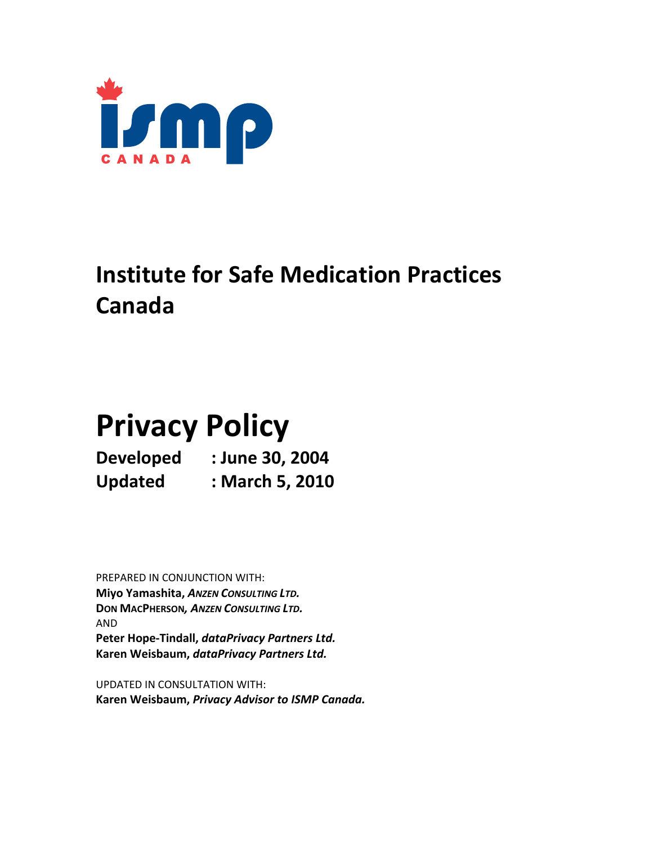

## **Institute for Safe Medication Practices Canada**

# **Privacy Policy**

**Developed : June 30, 2004 Updated : March 5, 2010**

PREPARED IN CONJUNCTION WITH: **Miyo Yamashita,** *ANZEN CONSULTING LTD.* **DON MACPHERSON***, ANZEN CONSULTING LTD.* AND **Peter Hope‐Tindall,** *dataPrivacy Partners Ltd.* **Karen Weisbaum,** *dataPrivacy Partners Ltd.*

UPDATED IN CONSULTATION WITH: **Karen Weisbaum,** *Privacy Advisor to ISMP Canada.*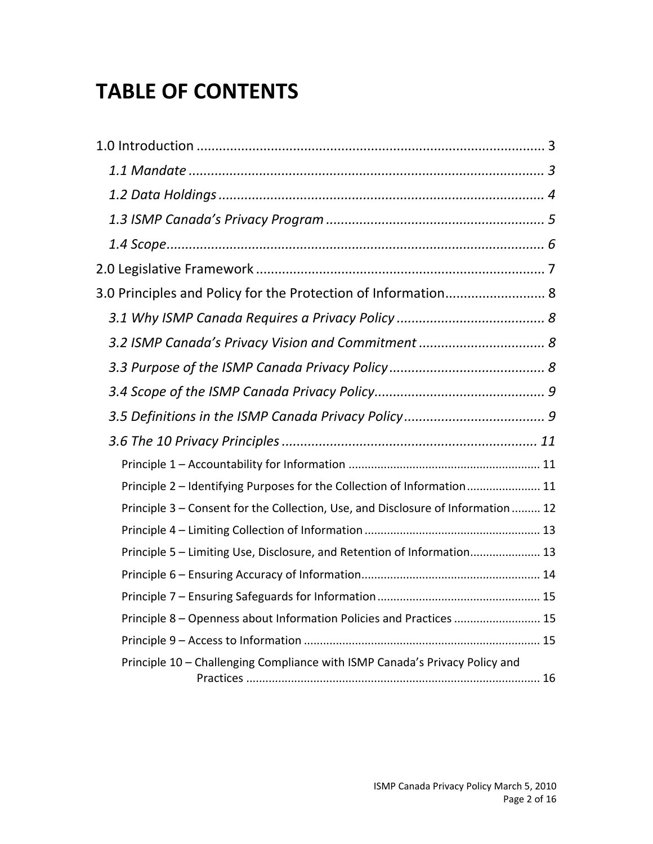## **TABLE OF CONTENTS**

| 3.0 Principles and Policy for the Protection of Information 8                   |  |
|---------------------------------------------------------------------------------|--|
|                                                                                 |  |
|                                                                                 |  |
|                                                                                 |  |
|                                                                                 |  |
|                                                                                 |  |
|                                                                                 |  |
|                                                                                 |  |
| Principle 2 - Identifying Purposes for the Collection of Information 11         |  |
| Principle 3 - Consent for the Collection, Use, and Disclosure of Information 12 |  |
|                                                                                 |  |
| Principle 5 - Limiting Use, Disclosure, and Retention of Information 13         |  |
|                                                                                 |  |
|                                                                                 |  |
| Principle 8 - Openness about Information Policies and Practices  15             |  |
|                                                                                 |  |
| Principle 10 - Challenging Compliance with ISMP Canada's Privacy Policy and     |  |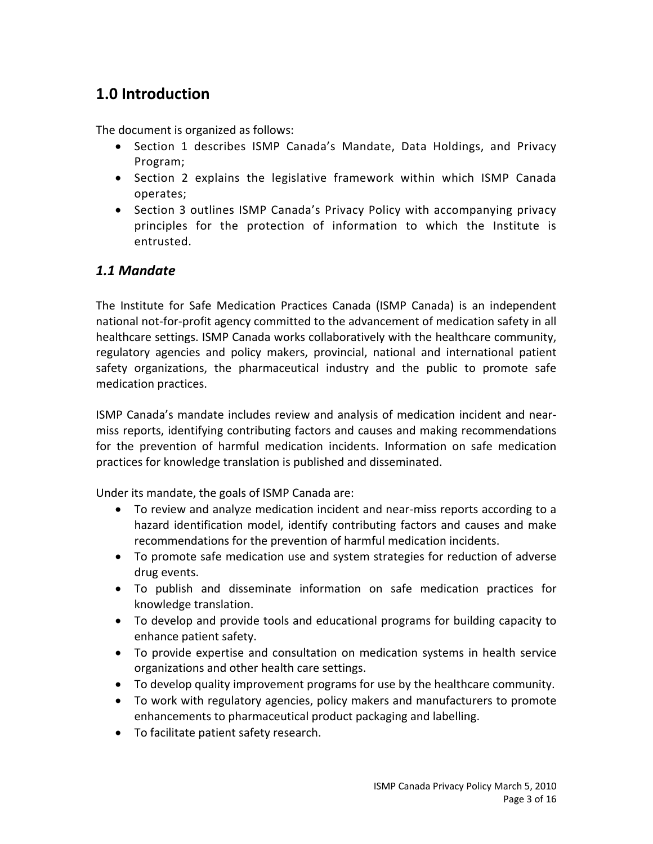## **1.0 Introduction**

The document is organized as follows:

- Section 1 describes ISMP Canada's Mandate, Data Holdings, and Privacy Program;
- Section 2 explains the legislative framework within which ISMP Canada operates;
- Section 3 outlines ISMP Canada's Privacy Policy with accompanying privacy principles for the protection of information to which the Institute is entrusted.

#### *1.1 Mandate*

The Institute for Safe Medication Practices Canada (ISMP Canada) is an independent national not‐for‐profit agency committed to the advancement of medication safety in all healthcare settings. ISMP Canada works collaboratively with the healthcare community, regulatory agencies and policy makers, provincial, national and international patient safety organizations, the pharmaceutical industry and the public to promote safe medication practices.

ISMP Canada's mandate includes review and analysis of medication incident and near‐ miss reports, identifying contributing factors and causes and making recommendations for the prevention of harmful medication incidents. Information on safe medication practices for knowledge translation is published and disseminated.

Under its mandate, the goals of ISMP Canada are:

- To review and analyze medication incident and near‐miss reports according to a hazard identification model, identify contributing factors and causes and make recommendations for the prevention of harmful medication incidents.
- To promote safe medication use and system strategies for reduction of adverse drug events.
- To publish and disseminate information on safe medication practices for knowledge translation.
- To develop and provide tools and educational programs for building capacity to enhance patient safety.
- To provide expertise and consultation on medication systems in health service organizations and other health care settings.
- To develop quality improvement programs for use by the healthcare community.
- To work with regulatory agencies, policy makers and manufacturers to promote enhancements to pharmaceutical product packaging and labelling.
- To facilitate patient safety research.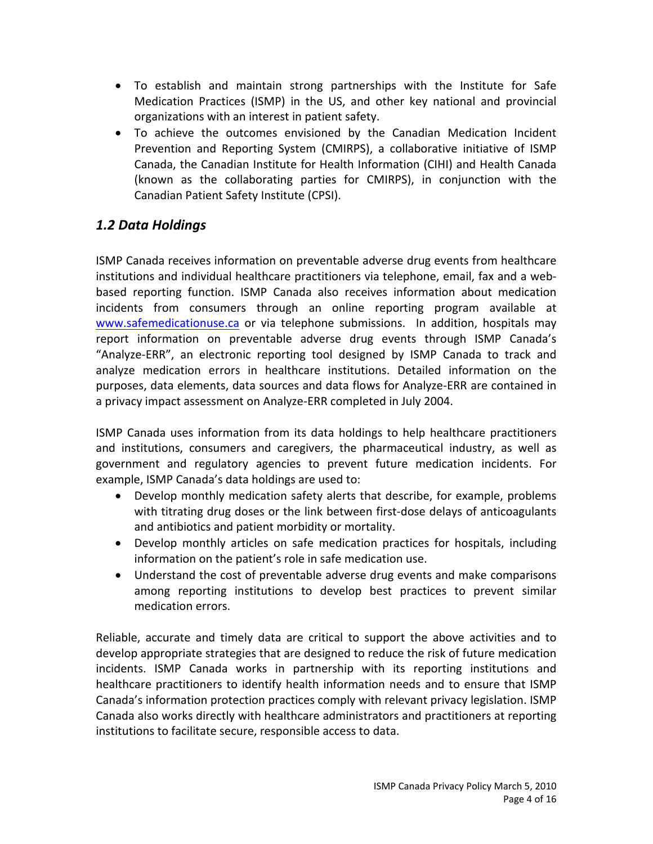- To establish and maintain strong partnerships with the Institute for Safe Medication Practices (ISMP) in the US, and other key national and provincial organizations with an interest in patient safety.
- To achieve the outcomes envisioned by the Canadian Medication Incident Prevention and Reporting System (CMIRPS), a collaborative initiative of ISMP Canada, the Canadian Institute for Health Information (CIHI) and Health Canada (known as the collaborating parties for CMIRPS), in conjunction with the Canadian Patient Safety Institute (CPSI).

#### *1.2 Data Holdings*

ISMP Canada receives information on preventable adverse drug events from healthcare institutions and individual healthcare practitioners via telephone, email, fax and a web‐ based reporting function. ISMP Canada also receives information about medication incidents from consumers through an online reporting program available at www.safemedicationuse.ca or via telephone submissions. In addition, hospitals may report information on preventable adverse drug events through ISMP Canada's "Analyze‐ERR", an electronic reporting tool designed by ISMP Canada to track and analyze medication errors in healthcare institutions. Detailed information on the purposes, data elements, data sources and data flows for Analyze‐ERR are contained in a privacy impact assessment on Analyze‐ERR completed in July 2004.

ISMP Canada uses information from its data holdings to help healthcare practitioners and institutions, consumers and caregivers, the pharmaceutical industry, as well as government and regulatory agencies to prevent future medication incidents. For example, ISMP Canada's data holdings are used to:

- Develop monthly medication safety alerts that describe, for example, problems with titrating drug doses or the link between first-dose delays of anticoagulants and antibiotics and patient morbidity or mortality.
- Develop monthly articles on safe medication practices for hospitals, including information on the patient's role in safe medication use.
- Understand the cost of preventable adverse drug events and make comparisons among reporting institutions to develop best practices to prevent similar medication errors.

Reliable, accurate and timely data are critical to support the above activities and to develop appropriate strategies that are designed to reduce the risk of future medication incidents. ISMP Canada works in partnership with its reporting institutions and healthcare practitioners to identify health information needs and to ensure that ISMP Canada's information protection practices comply with relevant privacy legislation. ISMP Canada also works directly with healthcare administrators and practitioners at reporting institutions to facilitate secure, responsible access to data.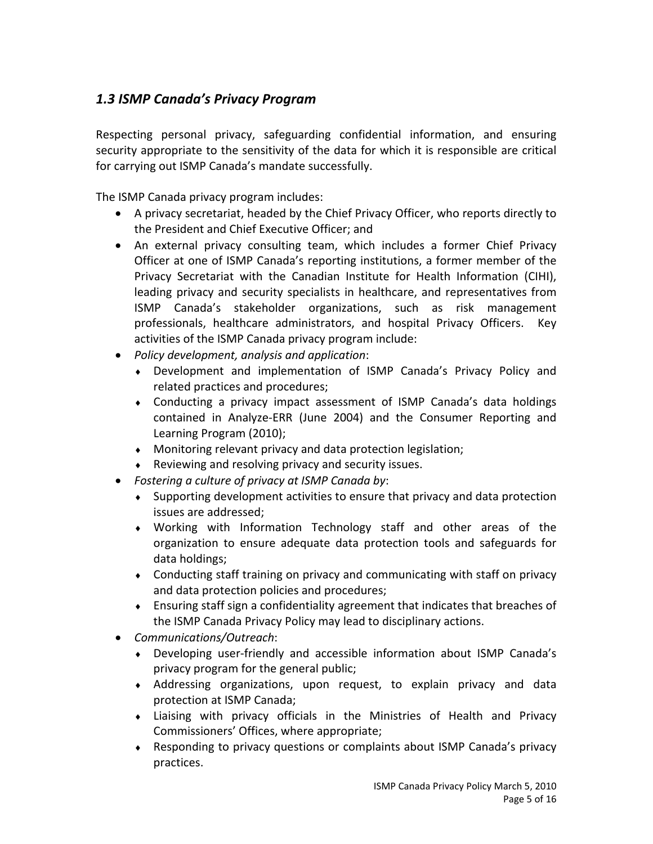### *1.3 ISMP Canada's Privacy Program*

Respecting personal privacy, safeguarding confidential information, and ensuring security appropriate to the sensitivity of the data for which it is responsible are critical for carrying out ISMP Canada's mandate successfully.

The ISMP Canada privacy program includes:

- A privacy secretariat, headed by the Chief Privacy Officer, who reports directly to the President and Chief Executive Officer; and
- An external privacy consulting team, which includes a former Chief Privacy Officer at one of ISMP Canada's reporting institutions, a former member of the Privacy Secretariat with the Canadian Institute for Health Information (CIHI), leading privacy and security specialists in healthcare, and representatives from ISMP Canada's stakeholder organizations, such as risk management professionals, healthcare administrators, and hospital Privacy Officers. Key activities of the ISMP Canada privacy program include:
- *Policy development, analysis and application*:
	- Development and implementation of ISMP Canada's Privacy Policy and related practices and procedures;
	- Conducting a privacy impact assessment of ISMP Canada's data holdings contained in Analyze‐ERR (June 2004) and the Consumer Reporting and Learning Program (2010);
	- Monitoring relevant privacy and data protection legislation;
	- Reviewing and resolving privacy and security issues.
- *Fostering a culture of privacy at ISMP Canada by*:
	- Supporting development activities to ensure that privacy and data protection issues are addressed;
	- Working with Information Technology staff and other areas of the organization to ensure adequate data protection tools and safeguards for data holdings;
	- Conducting staff training on privacy and communicating with staff on privacy and data protection policies and procedures;
	- Ensuring staff sign a confidentiality agreement that indicates that breaches of the ISMP Canada Privacy Policy may lead to disciplinary actions.
- *Communications/Outreach*:
	- Developing user‐friendly and accessible information about ISMP Canada's privacy program for the general public;
	- Addressing organizations, upon request, to explain privacy and data protection at ISMP Canada;
	- Liaising with privacy officials in the Ministries of Health and Privacy Commissioners' Offices, where appropriate;
	- Responding to privacy questions or complaints about ISMP Canada's privacy practices.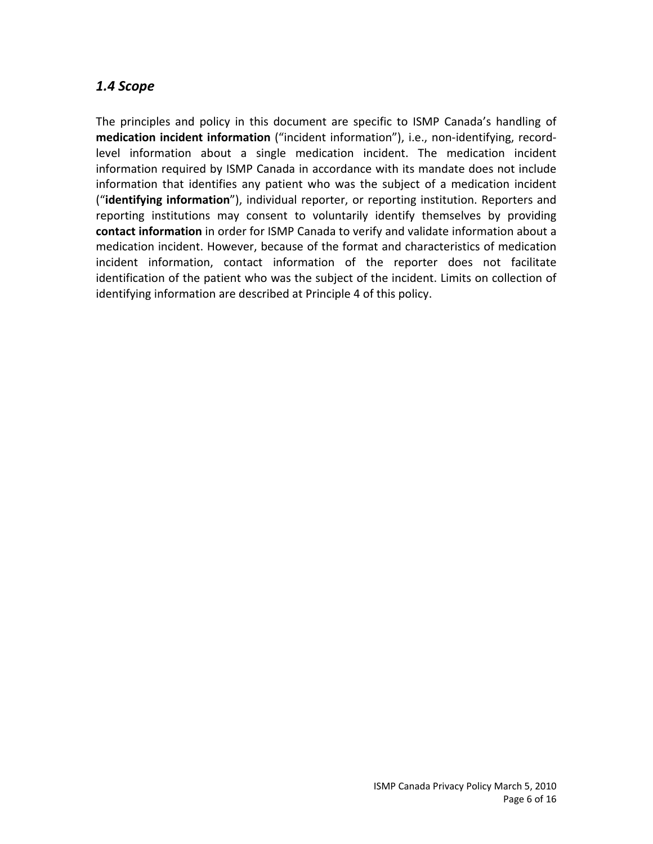#### *1.4 Scope*

The principles and policy in this document are specific to ISMP Canada's handling of **medication incident information** ("incident information"), i.e., non‐identifying, record‐ level information about a single medication incident. The medication incident information required by ISMP Canada in accordance with its mandate does not include information that identifies any patient who was the subject of a medication incident ("**identifying information**"), individual reporter, or reporting institution. Reporters and reporting institutions may consent to voluntarily identify themselves by providing **contact information** in order for ISMP Canada to verify and validate information about a medication incident. However, because of the format and characteristics of medication incident information, contact information of the reporter does not facilitate identification of the patient who was the subject of the incident. Limits on collection of identifying information are described at Principle 4 of this policy.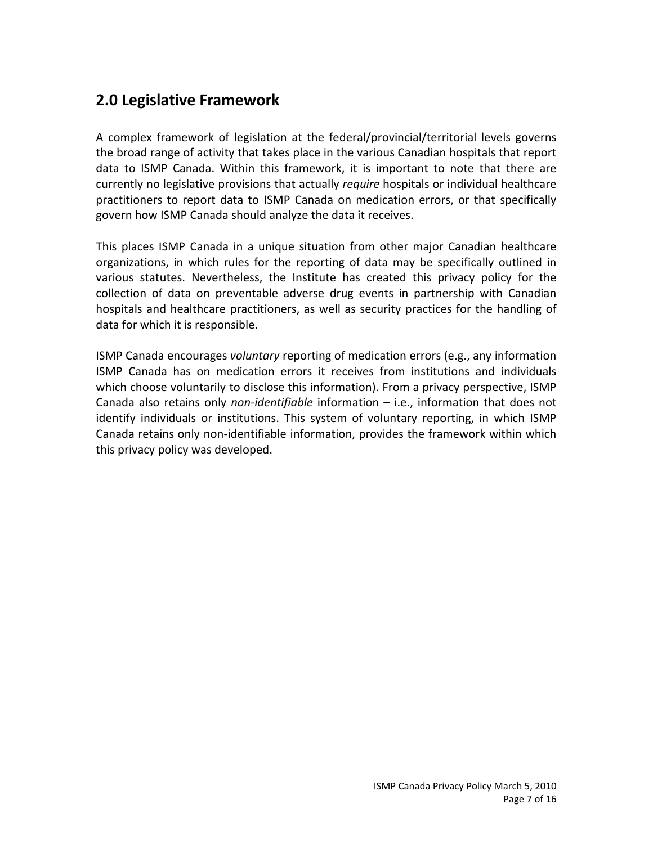## **2.0 Legislative Framework**

A complex framework of legislation at the federal/provincial/territorial levels governs the broad range of activity that takes place in the various Canadian hospitals that report data to ISMP Canada. Within this framework, it is important to note that there are currently no legislative provisions that actually *require* hospitals or individual healthcare practitioners to report data to ISMP Canada on medication errors, or that specifically govern how ISMP Canada should analyze the data it receives.

This places ISMP Canada in a unique situation from other major Canadian healthcare organizations, in which rules for the reporting of data may be specifically outlined in various statutes. Nevertheless, the Institute has created this privacy policy for the collection of data on preventable adverse drug events in partnership with Canadian hospitals and healthcare practitioners, as well as security practices for the handling of data for which it is responsible.

ISMP Canada encourages *voluntary* reporting of medication errors (e.g., any information ISMP Canada has on medication errors it receives from institutions and individuals which choose voluntarily to disclose this information). From a privacy perspective, ISMP Canada also retains only *non‐identifiable* information – i.e., information that does not identify individuals or institutions. This system of voluntary reporting, in which ISMP Canada retains only non‐identifiable information, provides the framework within which this privacy policy was developed.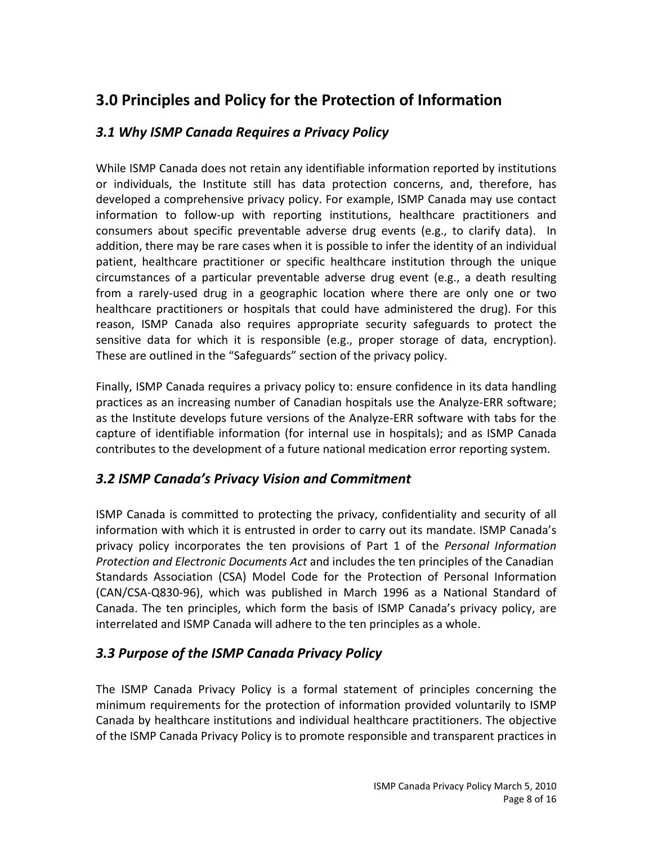## **3.0 Principles and Policy for the Protection of Information**

#### *3.1 Why ISMP Canada Requires a Privacy Policy*

While ISMP Canada does not retain any identifiable information reported by institutions or individuals, the Institute still has data protection concerns, and, therefore, has developed a comprehensive privacy policy. For example, ISMP Canada may use contact information to follow‐up with reporting institutions, healthcare practitioners and consumers about specific preventable adverse drug events (e.g., to clarify data). In addition, there may be rare cases when it is possible to infer the identity of an individual patient, healthcare practitioner or specific healthcare institution through the unique circumstances of a particular preventable adverse drug event (e.g., a death resulting from a rarely-used drug in a geographic location where there are only one or two healthcare practitioners or hospitals that could have administered the drug). For this reason, ISMP Canada also requires appropriate security safeguards to protect the sensitive data for which it is responsible (e.g., proper storage of data, encryption). These are outlined in the "Safeguards" section of the privacy policy.

Finally, ISMP Canada requires a privacy policy to: ensure confidence in its data handling practices as an increasing number of Canadian hospitals use the Analyze‐ERR software; as the Institute develops future versions of the Analyze‐ERR software with tabs for the capture of identifiable information (for internal use in hospitals); and as ISMP Canada contributes to the development of a future national medication error reporting system.

#### *3.2 ISMP Canada's Privacy Vision and Commitment*

ISMP Canada is committed to protecting the privacy, confidentiality and security of all information with which it is entrusted in order to carry out its mandate. ISMP Canada's privacy policy incorporates the ten provisions of Part 1 of the *Personal Information Protection and Electronic Documents Act* and includes the ten principles of the Canadian Standards Association (CSA) Model Code for the Protection of Personal Information (CAN/CSA‐Q830‐96), which was published in March 1996 as a National Standard of Canada. The ten principles, which form the basis of ISMP Canada's privacy policy, are interrelated and ISMP Canada will adhere to the ten principles as a whole.

#### *3.3 Purpose of the ISMP Canada Privacy Policy*

The ISMP Canada Privacy Policy is a formal statement of principles concerning the minimum requirements for the protection of information provided voluntarily to ISMP Canada by healthcare institutions and individual healthcare practitioners. The objective of the ISMP Canada Privacy Policy is to promote responsible and transparent practices in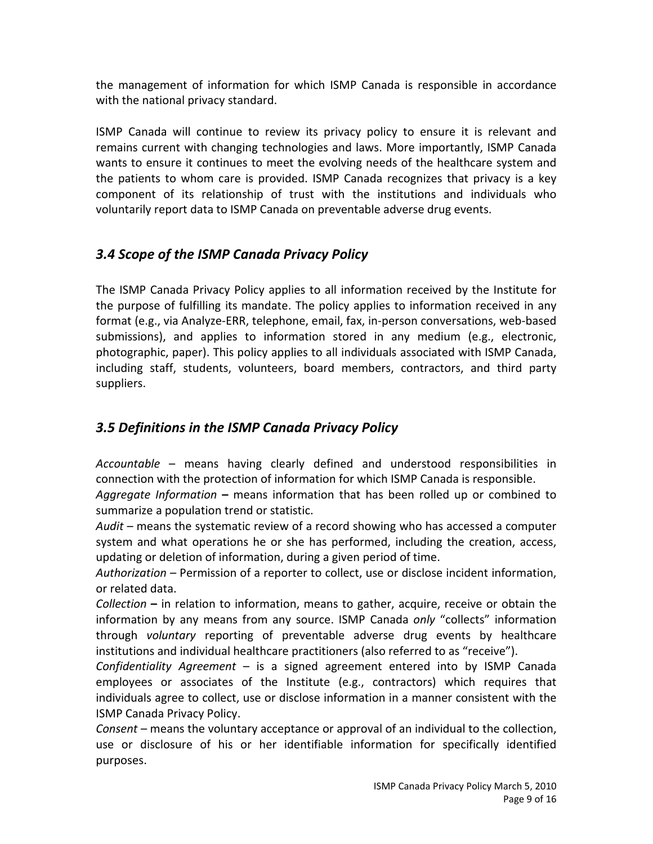the management of information for which ISMP Canada is responsible in accordance with the national privacy standard.

ISMP Canada will continue to review its privacy policy to ensure it is relevant and remains current with changing technologies and laws. More importantly, ISMP Canada wants to ensure it continues to meet the evolving needs of the healthcare system and the patients to whom care is provided. ISMP Canada recognizes that privacy is a key component of its relationship of trust with the institutions and individuals who voluntarily report data to ISMP Canada on preventable adverse drug events.

#### *3.4 Scope of the ISMP Canada Privacy Policy*

The ISMP Canada Privacy Policy applies to all information received by the Institute for the purpose of fulfilling its mandate. The policy applies to information received in any format (e.g., via Analyze‐ERR, telephone, email, fax, in‐person conversations, web‐based submissions), and applies to information stored in any medium (e.g., electronic, photographic, paper). This policy applies to all individuals associated with ISMP Canada, including staff, students, volunteers, board members, contractors, and third party suppliers.

### *3.5 Definitions in the ISMP Canada Privacy Policy*

*Accountable* – means having clearly defined and understood responsibilities in connection with the protection of information for which ISMP Canada is responsible. *Aggregate Information* **–** means information that has been rolled up or combined to summarize a population trend or statistic.

*Audit* – means the systematic review of a record showing who has accessed a computer system and what operations he or she has performed, including the creation, access, updating or deletion of information, during a given period of time.

*Authorization –* Permission of a reporter to collect, use or disclose incident information, or related data.

*Collection* **–** in relation to information, means to gather, acquire, receive or obtain the information by any means from any source. ISMP Canada *only* "collects" information through *voluntary* reporting of preventable adverse drug events by healthcare institutions and individual healthcare practitioners (also referred to as "receive").

*Confidentiality Agreement* – is a signed agreement entered into by ISMP Canada employees or associates of the Institute (e.g., contractors) which requires that individuals agree to collect, use or disclose information in a manner consistent with the ISMP Canada Privacy Policy.

*Consent* – means the voluntary acceptance or approval of an individual to the collection, use or disclosure of his or her identifiable information for specifically identified purposes.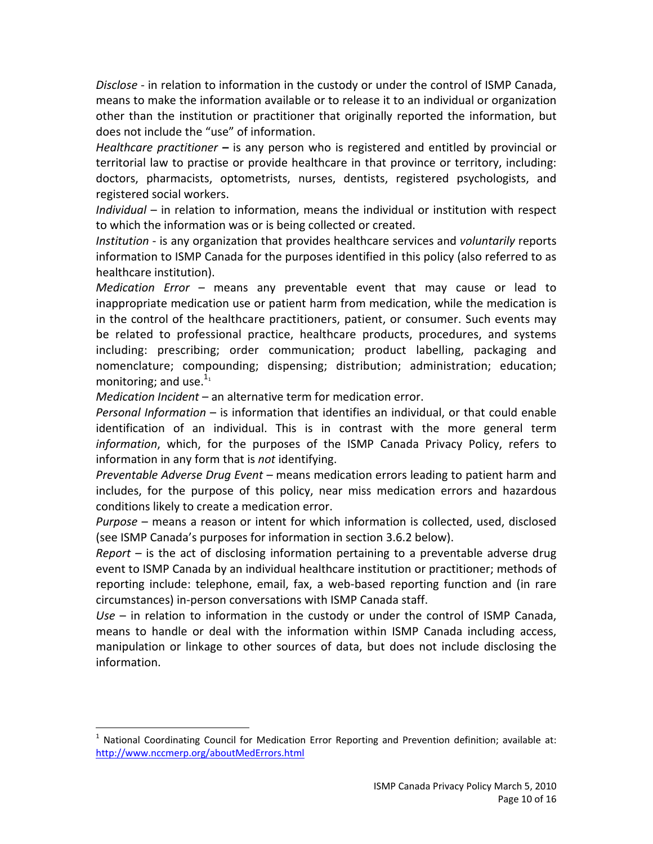*Disclose* ‐ in relation to information in the custody or under the control of ISMP Canada, means to make the information available or to release it to an individual or organization other than the institution or practitioner that originally reported the information, but does not include the "use" of information.

*Healthcare practitioner* **–** is any person who is registered and entitled by provincial or territorial law to practise or provide healthcare in that province or territory, including: doctors, pharmacists, optometrists, nurses, dentists, registered psychologists, and registered social workers.

*Individual* – in relation to information, means the individual or institution with respect to which the information was or is being collected or created.

*Institution* ‐ is any organization that provides healthcare services and *voluntarily* reports information to ISMP Canada for the purposes identified in this policy (also referred to as healthcare institution).

*Medication Error* – means any preventable event that may cause or lead to inappropriate medication use or patient harm from medication, while the medication is in the control of the healthcare practitioners, patient, or consumer. Such events may be related to professional practice, healthcare products, procedures, and systems including: prescribing; order communication; product labelling, packaging and nomenclature; compounding; dispensing; distribution; administration; education; monitoring; and use. $111}$ 

*Medication Incident* – an alternative term for medication error.

1

*Personal Information* – is information that identifies an individual, or that could enable identification of an individual. This is in contrast with the more general term *information*, which, for the purposes of the ISMP Canada Privacy Policy, refers to information in any form that is *not* identifying.

*Preventable Adverse Drug Event –* means medication errors leading to patient harm and includes, for the purpose of this policy, near miss medication errors and hazardous conditions likely to create a medication error.

*Purpose* – means a reason or intent for which information is collected, used, disclosed (see ISMP Canada's purposes for information in section 3.6.2 below).

*Report* – is the act of disclosing information pertaining to a preventable adverse drug event to ISMP Canada by an individual healthcare institution or practitioner; methods of reporting include: telephone, email, fax, a web-based reporting function and (in rare circumstances) in‐person conversations with ISMP Canada staff.

*Use* – in relation to information in the custody or under the control of ISMP Canada, means to handle or deal with the information within ISMP Canada including access, manipulation or linkage to other sources of data, but does not include disclosing the information.

 $1$  National Coordinating Council for Medication Error Reporting and Prevention definition; available at: http://www.nccmerp.org/aboutMedErrors.html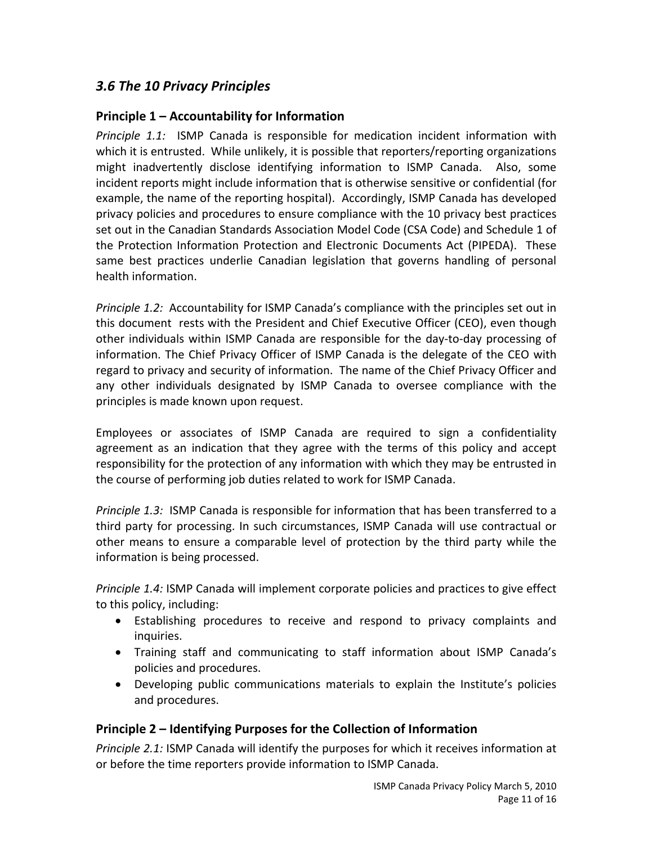#### *3.6 The 10 Privacy Principles*

#### **Principle 1 – Accountability for Information**

*Principle 1.1:* ISMP Canada is responsible for medication incident information with which it is entrusted. While unlikely, it is possible that reporters/reporting organizations might inadvertently disclose identifying information to ISMP Canada. Also, some incident reports might include information that is otherwise sensitive or confidential (for example, the name of the reporting hospital). Accordingly, ISMP Canada has developed privacy policies and procedures to ensure compliance with the 10 privacy best practices set out in the Canadian Standards Association Model Code (CSA Code) and Schedule 1 of the Protection Information Protection and Electronic Documents Act (PIPEDA). These same best practices underlie Canadian legislation that governs handling of personal health information.

*Principle* 1.2: Accountability for ISMP Canada's compliance with the principles set out in this document rests with the President and Chief Executive Officer (CEO), even though other individuals within ISMP Canada are responsible for the day‐to‐day processing of information. The Chief Privacy Officer of ISMP Canada is the delegate of the CEO with regard to privacy and security of information. The name of the Chief Privacy Officer and any other individuals designated by ISMP Canada to oversee compliance with the principles is made known upon request.

Employees or associates of ISMP Canada are required to sign a confidentiality agreement as an indication that they agree with the terms of this policy and accept responsibility for the protection of any information with which they may be entrusted in the course of performing job duties related to work for ISMP Canada.

*Principle 1.3:* ISMP Canada is responsible for information that has been transferred to a third party for processing. In such circumstances, ISMP Canada will use contractual or other means to ensure a comparable level of protection by the third party while the information is being processed.

*Principle 1.4:* ISMP Canada will implement corporate policies and practices to give effect to this policy, including:

- Establishing procedures to receive and respond to privacy complaints and inquiries.
- Training staff and communicating to staff information about ISMP Canada's policies and procedures.
- Developing public communications materials to explain the Institute's policies and procedures.

#### **Principle 2 – Identifying Purposes for the Collection of Information**

*Principle 2.1:* ISMP Canada will identify the purposes for which it receives information at or before the time reporters provide information to ISMP Canada.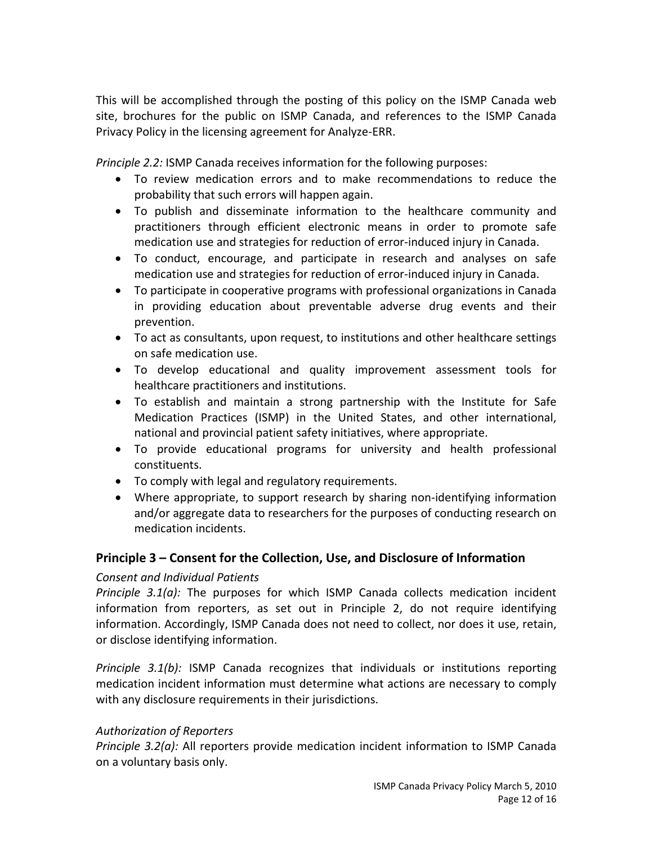This will be accomplished through the posting of this policy on the ISMP Canada web site, brochures for the public on ISMP Canada, and references to the ISMP Canada Privacy Policy in the licensing agreement for Analyze‐ERR.

*Principle 2.2:* ISMP Canada receives information for the following purposes:

- To review medication errors and to make recommendations to reduce the probability that such errors will happen again.
- To publish and disseminate information to the healthcare community and practitioners through efficient electronic means in order to promote safe medication use and strategies for reduction of error‐induced injury in Canada.
- To conduct, encourage, and participate in research and analyses on safe medication use and strategies for reduction of error‐induced injury in Canada.
- To participate in cooperative programs with professional organizations in Canada in providing education about preventable adverse drug events and their prevention.
- To act as consultants, upon request, to institutions and other healthcare settings on safe medication use.
- To develop educational and quality improvement assessment tools for healthcare practitioners and institutions.
- To establish and maintain a strong partnership with the Institute for Safe Medication Practices (ISMP) in the United States, and other international, national and provincial patient safety initiatives, where appropriate.
- To provide educational programs for university and health professional constituents.
- To comply with legal and regulatory requirements.
- Where appropriate, to support research by sharing non-identifying information and/or aggregate data to researchers for the purposes of conducting research on medication incidents.

#### **Principle 3 – Consent for the Collection, Use, and Disclosure of Information**

#### *Consent and Individual Patients*

*Principle 3.1(a):* The purposes for which ISMP Canada collects medication incident information from reporters, as set out in Principle 2, do not require identifying information. Accordingly, ISMP Canada does not need to collect, nor does it use, retain, or disclose identifying information.

*Principle 3.1(b):* ISMP Canada recognizes that individuals or institutions reporting medication incident information must determine what actions are necessary to comply with any disclosure requirements in their jurisdictions.

#### *Authorization of Reporters*

*Principle 3.2(a):* All reporters provide medication incident information to ISMP Canada on a voluntary basis only.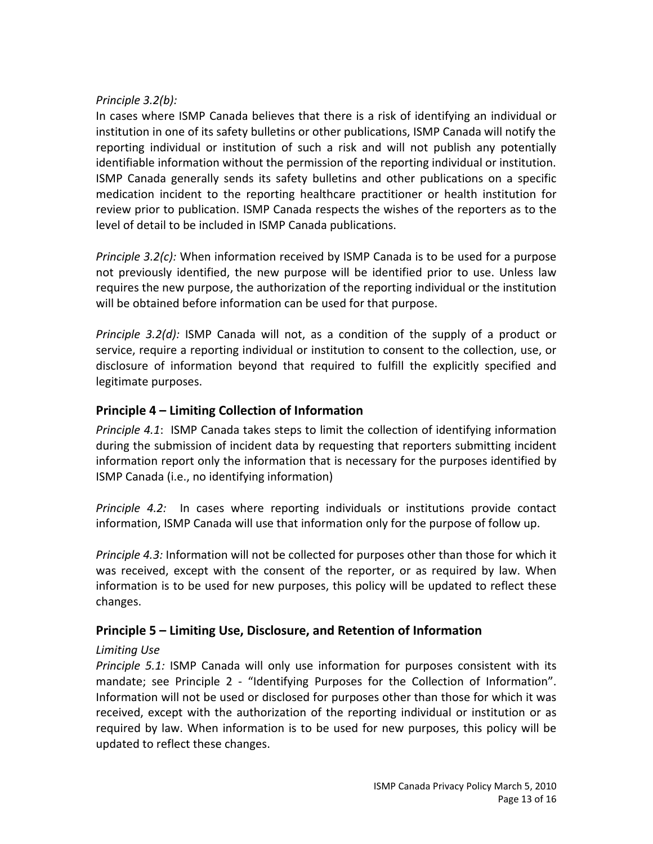#### *Principle 3.2(b):*

In cases where ISMP Canada believes that there is a risk of identifying an individual or institution in one of its safety bulletins or other publications, ISMP Canada will notify the reporting individual or institution of such a risk and will not publish any potentially identifiable information without the permission of the reporting individual or institution. ISMP Canada generally sends its safety bulletins and other publications on a specific medication incident to the reporting healthcare practitioner or health institution for review prior to publication. ISMP Canada respects the wishes of the reporters as to the level of detail to be included in ISMP Canada publications.

*Principle 3.2(c):* When information received by ISMP Canada is to be used for a purpose not previously identified, the new purpose will be identified prior to use. Unless law requires the new purpose, the authorization of the reporting individual or the institution will be obtained before information can be used for that purpose.

*Principle 3.2(d):* ISMP Canada will not, as a condition of the supply of a product or service, require a reporting individual or institution to consent to the collection, use, or disclosure of information beyond that required to fulfill the explicitly specified and legitimate purposes.

#### **Principle 4 – Limiting Collection of Information**

*Principle 4.1*: ISMP Canada takes steps to limit the collection of identifying information during the submission of incident data by requesting that reporters submitting incident information report only the information that is necessary for the purposes identified by ISMP Canada (i.e., no identifying information)

*Principle 4.2:* In cases where reporting individuals or institutions provide contact information, ISMP Canada will use that information only for the purpose of follow up.

*Principle 4.3:* Information will not be collected for purposes other than those for which it was received, except with the consent of the reporter, or as required by law. When information is to be used for new purposes, this policy will be updated to reflect these changes.

#### **Principle 5 – Limiting Use, Disclosure, and Retention of Information**

#### *Limiting Use*

*Principle 5.1:* ISMP Canada will only use information for purposes consistent with its mandate; see Principle 2 - "Identifying Purposes for the Collection of Information". Information will not be used or disclosed for purposes other than those for which it was received, except with the authorization of the reporting individual or institution or as required by law. When information is to be used for new purposes, this policy will be updated to reflect these changes.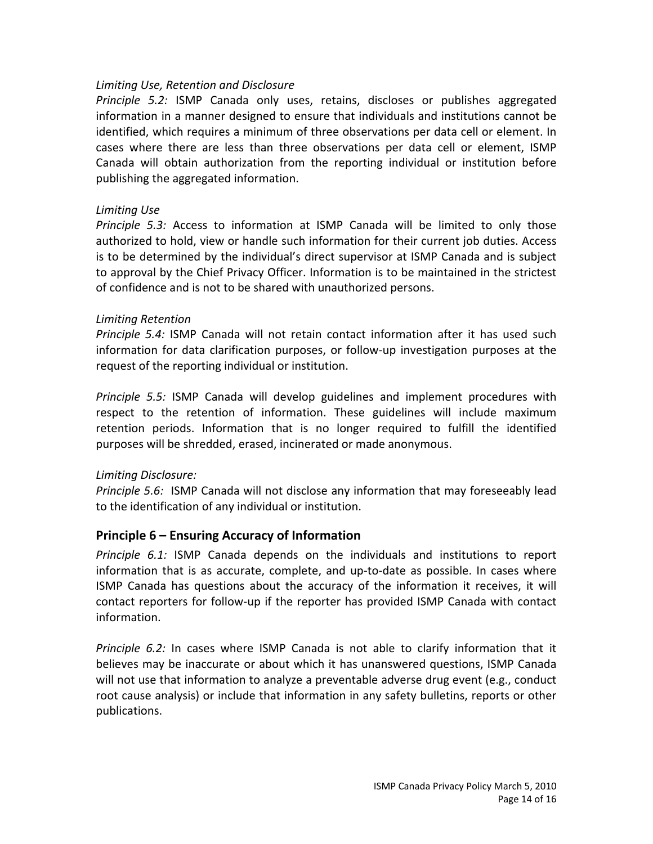#### *Limiting Use, Retention and Disclosure*

*Principle 5.2:* ISMP Canada only uses, retains, discloses or publishes aggregated information in a manner designed to ensure that individuals and institutions cannot be identified, which requires a minimum of three observations per data cell or element. In cases where there are less than three observations per data cell or element, ISMP Canada will obtain authorization from the reporting individual or institution before publishing the aggregated information.

#### *Limiting Use*

*Principle 5.3:* Access to information at ISMP Canada will be limited to only those authorized to hold, view or handle such information for their current job duties. Access is to be determined by the individual's direct supervisor at ISMP Canada and is subject to approval by the Chief Privacy Officer. Information is to be maintained in the strictest of confidence and is not to be shared with unauthorized persons.

#### *Limiting Retention*

*Principle 5.4:* ISMP Canada will not retain contact information after it has used such information for data clarification purposes, or follow‐up investigation purposes at the request of the reporting individual or institution.

*Principle 5.5:* ISMP Canada will develop guidelines and implement procedures with respect to the retention of information. These guidelines will include maximum retention periods. Information that is no longer required to fulfill the identified purposes will be shredded, erased, incinerated or made anonymous.

#### *Limiting Disclosure:*

*Principle 5.6:* ISMP Canada will not disclose any information that may foreseeably lead to the identification of any individual or institution.

#### **Principle 6 – Ensuring Accuracy of Information**

*Principle 6.1:* ISMP Canada depends on the individuals and institutions to report information that is as accurate, complete, and up‐to‐date as possible. In cases where ISMP Canada has questions about the accuracy of the information it receives, it will contact reporters for follow‐up if the reporter has provided ISMP Canada with contact information.

*Principle 6.2:* In cases where ISMP Canada is not able to clarify information that it believes may be inaccurate or about which it has unanswered questions, ISMP Canada will not use that information to analyze a preventable adverse drug event (e.g., conduct root cause analysis) or include that information in any safety bulletins, reports or other publications.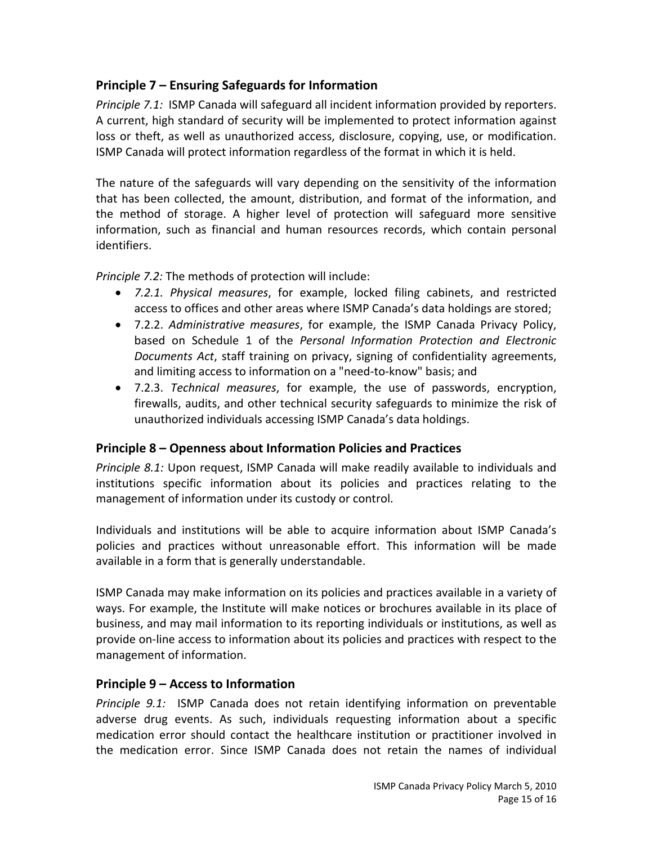#### **Principle 7 – Ensuring Safeguards for Information**

*Principle 7.1:* ISMP Canada will safeguard all incident information provided by reporters. A current, high standard of security will be implemented to protect information against loss or theft, as well as unauthorized access, disclosure, copying, use, or modification. ISMP Canada will protect information regardless of the format in which it is held.

The nature of the safeguards will vary depending on the sensitivity of the information that has been collected, the amount, distribution, and format of the information, and the method of storage. A higher level of protection will safeguard more sensitive information, such as financial and human resources records, which contain personal identifiers.

*Principle 7.2:* The methods of protection will include:

- *7.2.1. Physical measures*, for example, locked filing cabinets, and restricted access to offices and other areas where ISMP Canada's data holdings are stored;
- 7.2.2. *Administrative measures*, for example, the ISMP Canada Privacy Policy, based on Schedule 1 of the *Personal Information Protection and Electronic Documents Act*, staff training on privacy, signing of confidentiality agreements, and limiting access to information on a "need‐to‐know" basis; and
- 7.2.3. *Technical measures*, for example, the use of passwords, encryption, firewalls, audits, and other technical security safeguards to minimize the risk of unauthorized individuals accessing ISMP Canada's data holdings.

#### **Principle 8 – Openness about Information Policies and Practices**

*Principle 8.1:* Upon request, ISMP Canada will make readily available to individuals and institutions specific information about its policies and practices relating to the management of information under its custody or control.

Individuals and institutions will be able to acquire information about ISMP Canada's policies and practices without unreasonable effort. This information will be made available in a form that is generally understandable.

ISMP Canada may make information on its policies and practices available in a variety of ways. For example, the Institute will make notices or brochures available in its place of business, and may mail information to its reporting individuals or institutions, as well as provide on‐line access to information about its policies and practices with respect to the management of information.

#### **Principle 9 – Access to Information**

*Principle 9.1:* ISMP Canada does not retain identifying information on preventable adverse drug events. As such, individuals requesting information about a specific medication error should contact the healthcare institution or practitioner involved in the medication error. Since ISMP Canada does not retain the names of individual